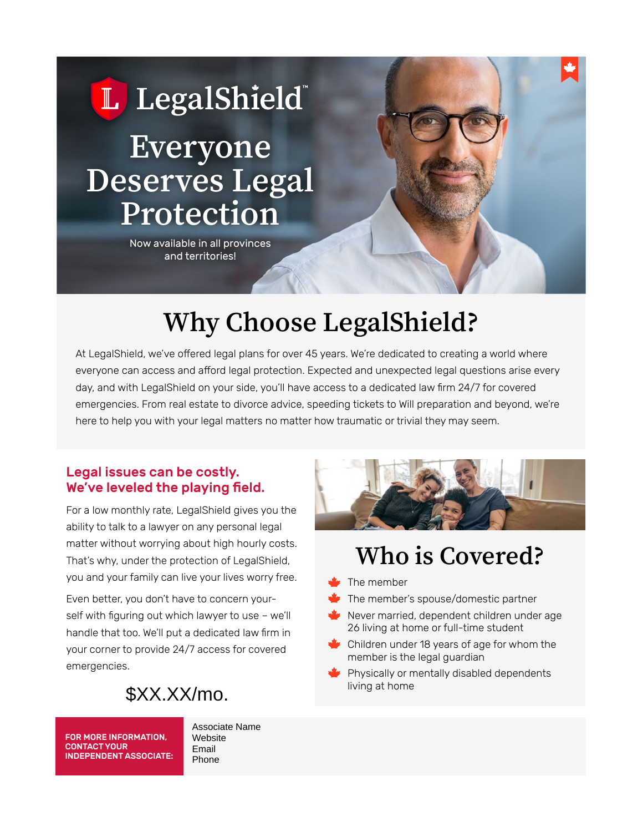

Now available in all provinces and territories!

# **Why Choose LegalShield?**

At LegalShield, we've offered legal plans for over 45 years. We're dedicated to creating a world where everyone can access and afford legal protection. Expected and unexpected legal questions arise every day, and with LegalShield on your side, you'll have access to a dedicated law firm 24/7 for covered emergencies. From real estate to divorce advice, speeding tickets to Will preparation and beyond, we're here to help you with your legal matters no matter how traumatic or trivial they may seem.

### Legal issues can be costly. We've leveled the playing field.

For a low monthly rate, LegalShield gives you the ability to talk to a lawyer on any personal legal matter without worrying about high hourly costs. That's why, under the protection of LegalShield, you and your family can live your lives worry free.

Even better, you don't have to concern yourself with figuring out which lawyer to use – we'll handle that too. We'll put a dedicated law firm in your corner to provide 24/7 access for covered emergencies.



FOR MORE INFORMATION, CONTACT YOUR INDEPENDENT ASSOCIATE: Associate Name **Website** Email



## **Who is Covered?**

- The member
- The member's spouse/domestic partner
- Never married, dependent children under age 26 living at home or full-time student
- Children under 18 years of age for whom the member is the legal guardian
- $\blacktriangleright$  Physically or mentally disabled dependents living at home